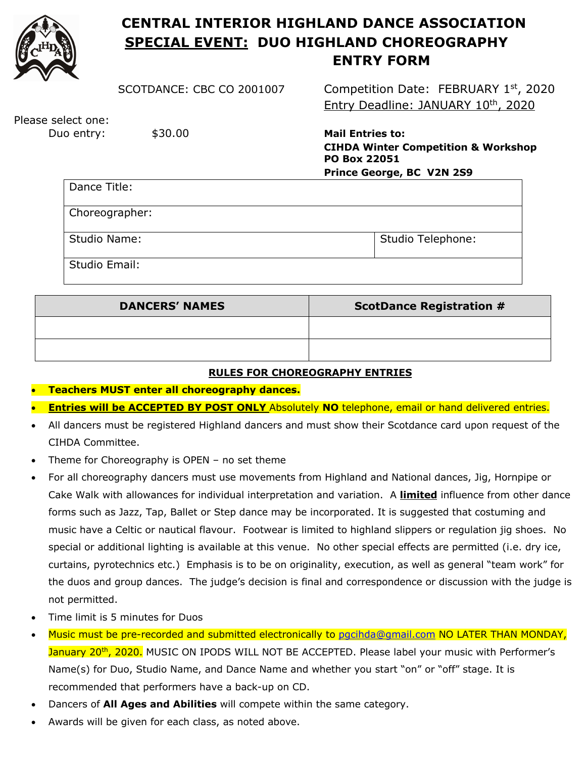

## **CENTRAL INTERIOR HIGHLAND DANCE ASSOCIATION SPECIAL EVENT: DUO HIGHLAND CHOREOGRAPHY ENTRY FORM**

SCOTDANCE: CBC CO 2001007 Competition Date: FEBRUARY 1st, 2020 Entry Deadline: JANUARY 10th, 2020

Please select one:

 Duo entry: \$30.00 **Mail Entries to: CIHDA Winter Competition & Workshop PO Box 22051 Prince George, BC V2N 2S9**

| Dance Title:   |                   |
|----------------|-------------------|
| Choreographer: |                   |
| Studio Name:   | Studio Telephone: |
| Studio Email:  |                   |

| <b>DANCERS' NAMES</b> | <b>ScotDance Registration #</b> |
|-----------------------|---------------------------------|
|                       |                                 |
|                       |                                 |

## **RULES FOR CHOREOGRAPHY ENTRIES**

- **Teachers MUST enter all choreography dances.**
- **Entries will be ACCEPTED BY POST ONLY** Absolutely **NO** telephone, email or hand delivered entries.
- All dancers must be registered Highland dancers and must show their Scotdance card upon request of the CIHDA Committee.
- Theme for Choreography is OPEN no set theme
- For all choreography dancers must use movements from Highland and National dances, Jig, Hornpipe or Cake Walk with allowances for individual interpretation and variation. A **limited** influence from other dance forms such as Jazz, Tap, Ballet or Step dance may be incorporated. It is suggested that costuming and music have a Celtic or nautical flavour. Footwear is limited to highland slippers or regulation jig shoes. No special or additional lighting is available at this venue. No other special effects are permitted (i.e. dry ice, curtains, pyrotechnics etc.) Emphasis is to be on originality, execution, as well as general "team work" for the duos and group dances. The judge's decision is final and correspondence or discussion with the judge is not permitted.
- Time limit is 5 minutes for Duos
- Music must be pre-recorded and submitted electronically to pgcihda@gmail.com NO LATER THAN MONDAY, January 20<sup>th</sup>, 2020. MUSIC ON IPODS WILL NOT BE ACCEPTED. Please label your music with Performer's Name(s) for Duo, Studio Name, and Dance Name and whether you start "on" or "off" stage. It is recommended that performers have a back-up on CD.
- Dancers of **All Ages and Abilities** will compete within the same category.
- Awards will be given for each class, as noted above.